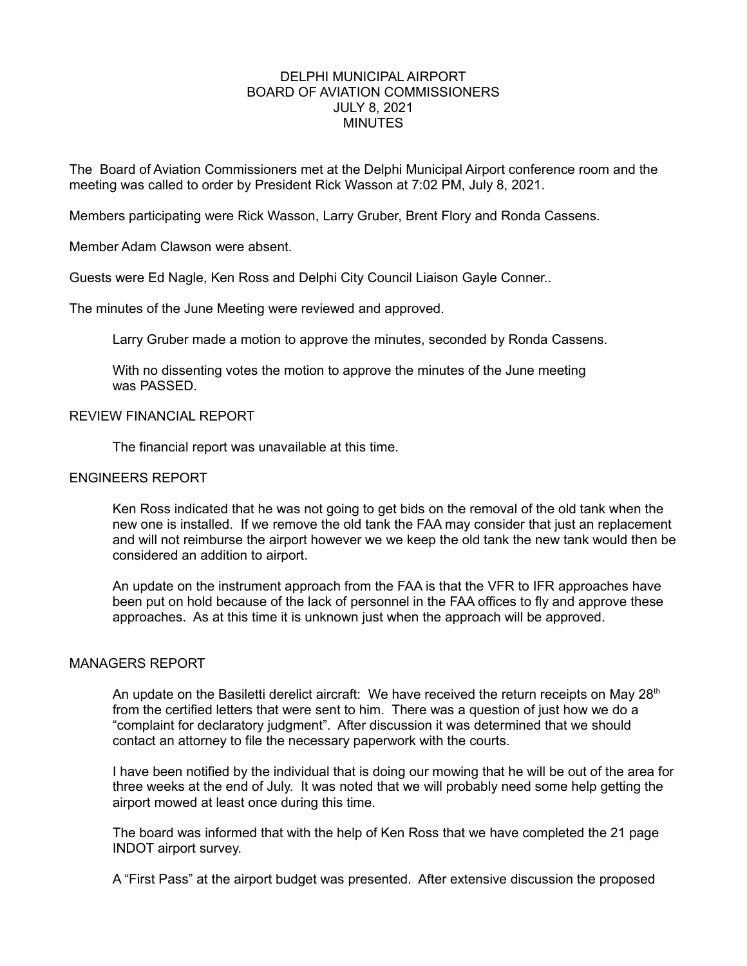## DELPHI MUNICIPAL AIRPORT BOARD OF AVIATION COMMISSIONERS JULY 8, 2021 **MINUTES**

The Board of Aviation Commissioners met at the Delphi Municipal Airport conference room and the meeting was called to order by President Rick Wasson at 7:02 PM, July 8, 2021.

Members participating were Rick Wasson, Larry Gruber, Brent Flory and Ronda Cassens.

Member Adam Clawson were absent.

Guests were Ed Nagle, Ken Ross and Delphi City Council Liaison Gayle Conner..

The minutes of the June Meeting were reviewed and approved.

Larry Gruber made a motion to approve the minutes, seconded by Ronda Cassens.

With no dissenting votes the motion to approve the minutes of the June meeting was PASSED.

## REVIEW FINANCIAL REPORT

The financial report was unavailable at this time.

## ENGINEERS REPORT

Ken Ross indicated that he was not going to get bids on the removal of the old tank when the new one is installed. If we remove the old tank the FAA may consider that just an replacement and will not reimburse the airport however we we keep the old tank the new tank would then be considered an addition to airport.

An update on the instrument approach from the FAA is that the VFR to IFR approaches have been put on hold because of the lack of personnel in the FAA offices to fly and approve these approaches. As at this time it is unknown just when the approach will be approved.

## MANAGERS REPORT

An update on the Basiletti derelict aircraft: We have received the return receipts on May  $28<sup>th</sup>$ from the certified letters that were sent to him. There was a question of just how we do a "complaint for declaratory judgment". After discussion it was determined that we should contact an attorney to file the necessary paperwork with the courts.

I have been notified by the individual that is doing our mowing that he will be out of the area for three weeks at the end of July. It was noted that we will probably need some help getting the airport mowed at least once during this time.

The board was informed that with the help of Ken Ross that we have completed the 21 page INDOT airport survey.

A "First Pass" at the airport budget was presented. After extensive discussion the proposed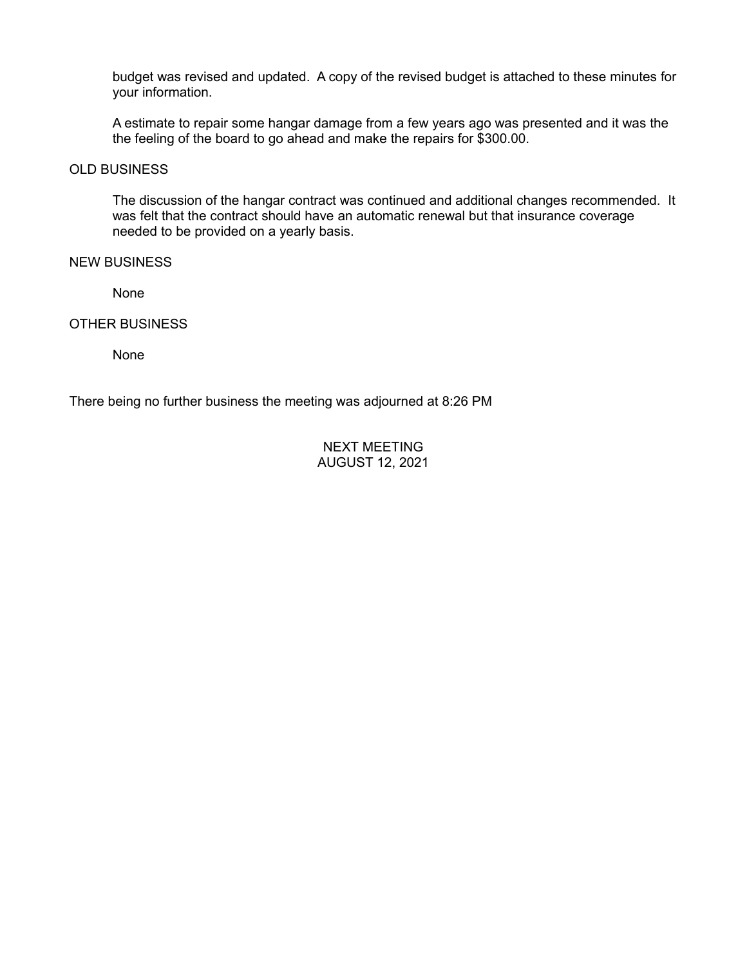budget was revised and updated. A copy of the revised budget is attached to these minutes for your information.

A estimate to repair some hangar damage from a few years ago was presented and it was the the feeling of the board to go ahead and make the repairs for \$300.00.

## OLD BUSINESS

The discussion of the hangar contract was continued and additional changes recommended. It was felt that the contract should have an automatic renewal but that insurance coverage needed to be provided on a yearly basis.

#### NEW BUSINESS

None

OTHER BUSINESS

None

There being no further business the meeting was adjourned at 8:26 PM

## NEXT MEETING AUGUST 12, 2021